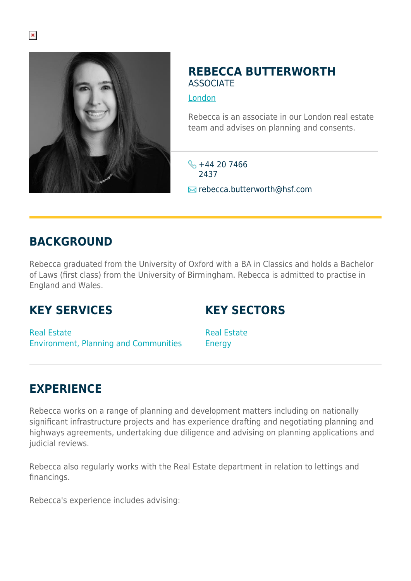

#### **REBECCA BUTTERWORTH** ASSOCIATE

[London](https://www.herbertsmithfreehills.com/where-we-work/london)

Rebecca is an associate in our London real estate team and advises on planning and consents.

 $\frac{1}{2}$  +44 20 7466 2437 **E**rebecca.butterworth@hsf.com

## **BACKGROUND**

Rebecca graduated from the University of Oxford with a BA in Classics and holds a Bachelor of Laws (first class) from the University of Birmingham. Rebecca is admitted to practise in England and Wales.

### **KEY SERVICES**

### **KEY SECTORS**

Real Estate Environment, Planning and Communities Real Estate **Energy** 

# **EXPERIENCE**

Rebecca works on a range of planning and development matters including on nationally significant infrastructure projects and has experience drafting and negotiating planning and highways agreements, undertaking due diligence and advising on planning applications and judicial reviews.

Rebecca also regularly works with the Real Estate department in relation to lettings and financings.

Rebecca's experience includes advising: